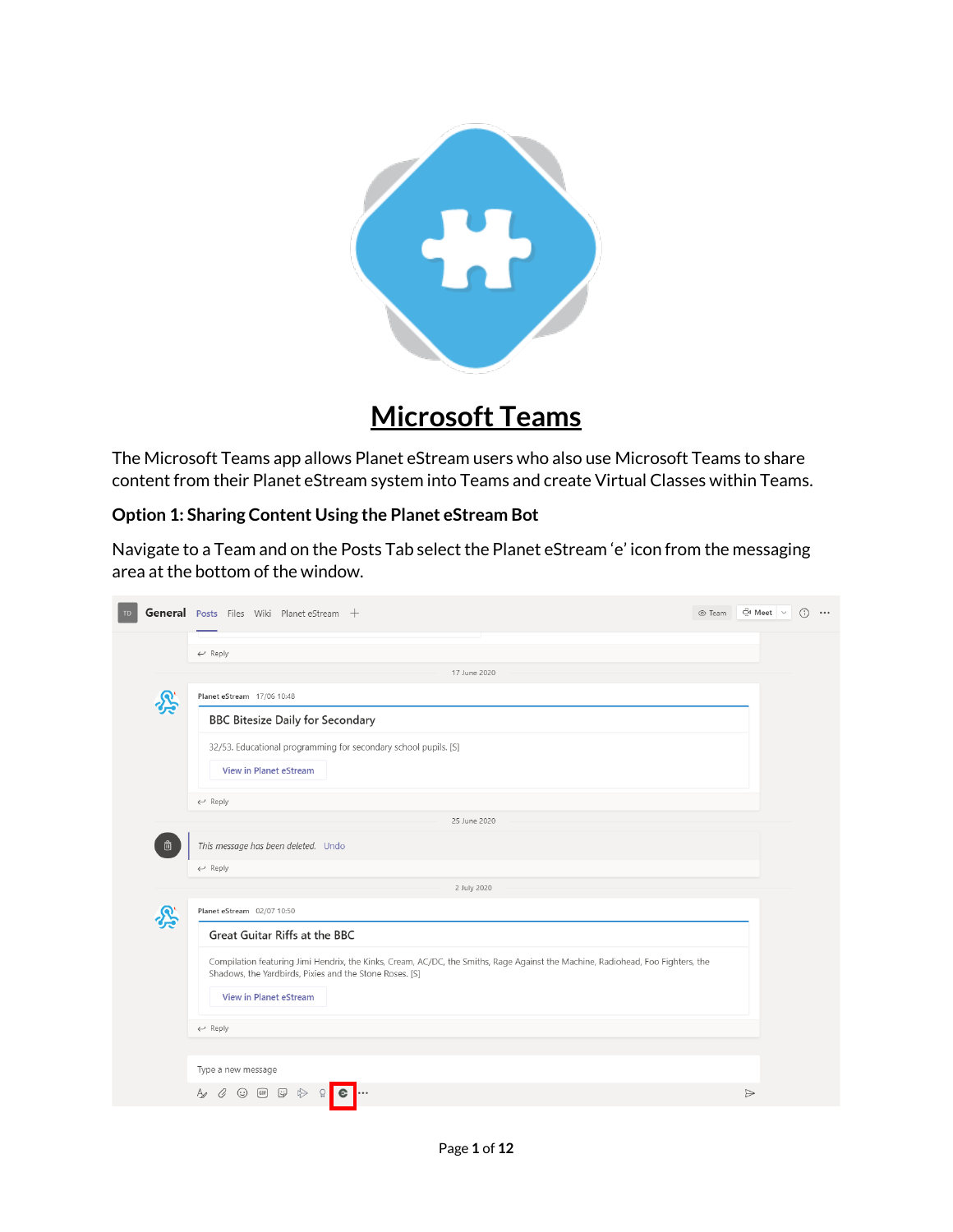

# **Microsoft Teams**

The Microsoft Teams app allows Planet eStream users who also use Microsoft Teams to share content from their Planet eStream system into Teams and create Virtual Classes within Teams.

#### **Option 1: Sharing Content Using the Planet eStream Bot**

Navigate to a Team and on the Posts Tab select the Planet eStream 'e' icon from the messaging area at the bottom of the window.

| TD | General Posts Files Wiki Planet eStream +                                                                                                                                                  | ⊙ Team |                  | ⊕ Meet ∨ | $\bigcap$<br>$\cdots$ |
|----|--------------------------------------------------------------------------------------------------------------------------------------------------------------------------------------------|--------|------------------|----------|-----------------------|
|    | $\leftarrow$ Reply                                                                                                                                                                         |        |                  |          |                       |
|    | 17 June 2020                                                                                                                                                                               |        |                  |          |                       |
|    | Planet eStream 17/06 10:48                                                                                                                                                                 |        |                  |          |                       |
|    | <b>BBC Bitesize Daily for Secondary</b>                                                                                                                                                    |        |                  |          |                       |
|    | 32/53. Educational programming for secondary school pupils. [S]                                                                                                                            |        |                  |          |                       |
|    | <b>View in Planet eStream</b>                                                                                                                                                              |        |                  |          |                       |
|    | $\leftarrow$ Reply                                                                                                                                                                         |        |                  |          |                       |
|    | 25 June 2020                                                                                                                                                                               |        |                  |          |                       |
| 靣  | This message has been deleted. Undo                                                                                                                                                        |        |                  |          |                       |
|    | $\leftarrow$ Reply                                                                                                                                                                         |        |                  |          |                       |
|    | 2 July 2020                                                                                                                                                                                |        |                  |          |                       |
|    | Planet eStream 02/07 10:50                                                                                                                                                                 |        |                  |          |                       |
|    | Great Guitar Riffs at the BBC                                                                                                                                                              |        |                  |          |                       |
|    | Compilation featuring Jimi Hendrix, the Kinks, Cream, AC/DC, the Smiths, Rage Against the Machine, Radiohead, Foo Fighters, the<br>Shadows, the Yardbirds, Pixies and the Stone Roses. [S] |        |                  |          |                       |
|    | <b>View in Planet eStream</b>                                                                                                                                                              |        |                  |          |                       |
|    | $\leftarrow$ Reply                                                                                                                                                                         |        |                  |          |                       |
|    |                                                                                                                                                                                            |        |                  |          |                       |
|    | Type a new message                                                                                                                                                                         |        |                  |          |                       |
|    | $\mathcal G$<br>$\odot$ (iii) $\odot$<br>$\triangleright$<br>Ą,<br>$\Omega$<br>$\mathbf{c}$                                                                                                |        | $\triangleright$ |          |                       |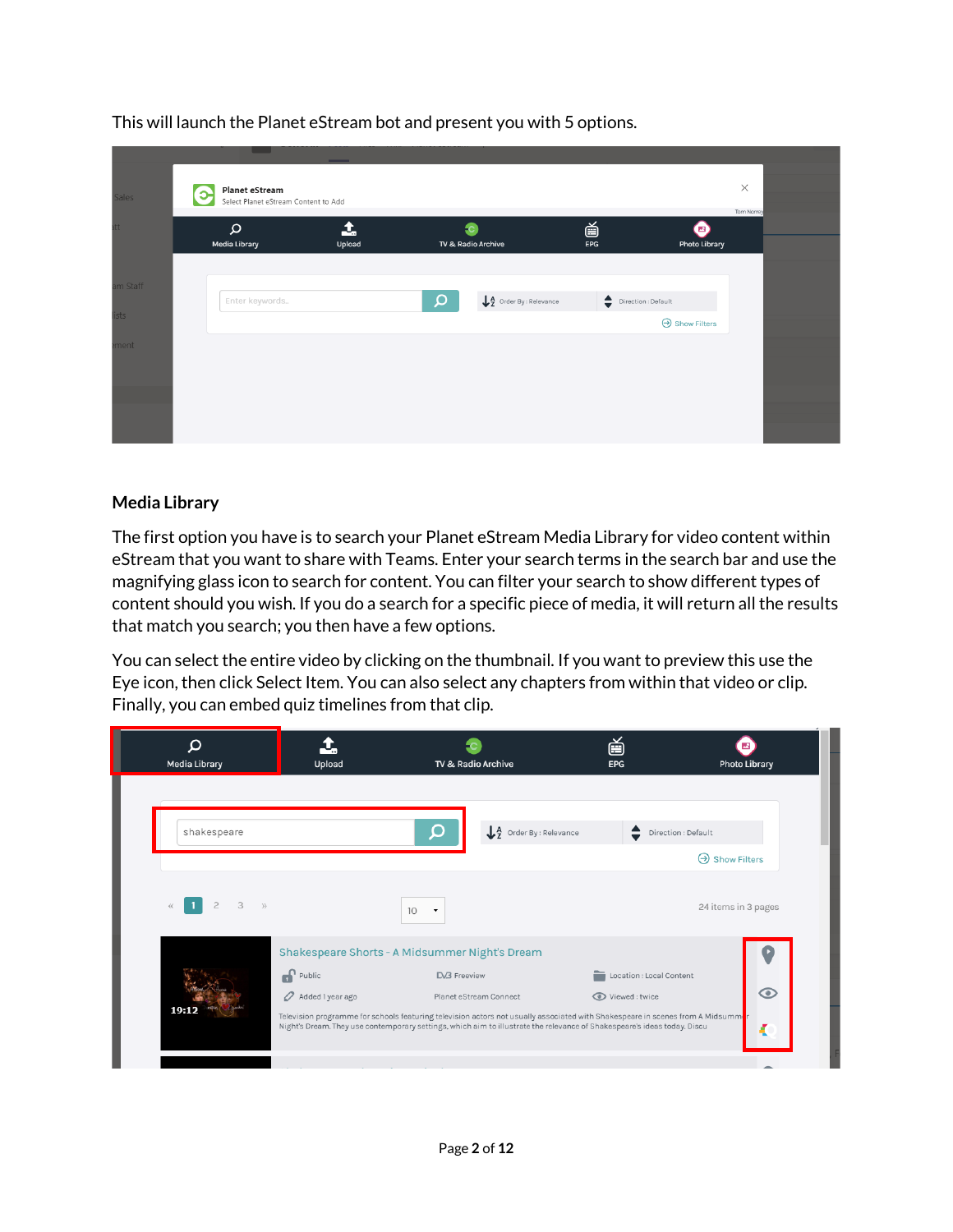|              | . .                                                                | $-$         |                                                      |                  |                                                                                                                    |                        |  |
|--------------|--------------------------------------------------------------------|-------------|------------------------------------------------------|------------------|--------------------------------------------------------------------------------------------------------------------|------------------------|--|
| <b>Sales</b> | <b>Planet eStream</b><br>Э<br>Select Planet eStream Content to Add |             |                                                      |                  |                                                                                                                    | $\times$<br>Tom Norrey |  |
| att.         | $\mathsf{\Omega}$<br>Media Library                                 | 1<br>Upload | TV & Radio Archive                                   | 首<br>${\sf EPG}$ | Ø<br>Photo Library                                                                                                 |                        |  |
| am Staff     | Enter keywords                                                     |             | Q<br>$\downarrow$ $\frac{A}{2}$ Order By : Relevance |                  | $\begin{tabular}{ll} \quad \quad \bullet \quad \quad \bullet \quad \text{Direction}: \text{Default} \end{tabular}$ |                        |  |
| ists         |                                                                    |             |                                                      |                  | $\Theta$ Show Filters                                                                                              |                        |  |
| ement        |                                                                    |             |                                                      |                  |                                                                                                                    |                        |  |
|              |                                                                    |             |                                                      |                  |                                                                                                                    |                        |  |
|              |                                                                    |             |                                                      |                  |                                                                                                                    |                        |  |

This will launch the Planet eStream bot and present you with 5 options.

#### **Media Library**

The first option you have is to search your Planet eStream Media Library for video content within eStream that you want to share with Teams. Enter your search terms in the search bar and use the magnifying glass icon to search for content. You can filter your search to show different types of content should you wish. If you do a search for a specific piece of media, it will return all the results that match you search; you then have a few options.

You can select the entire video by clicking on the thumbnail. If you want to preview this use the Eye icon, then click Select Item. You can also select any chapters from within that video or clip. Finally, you can embed quiz timelines from that clip.

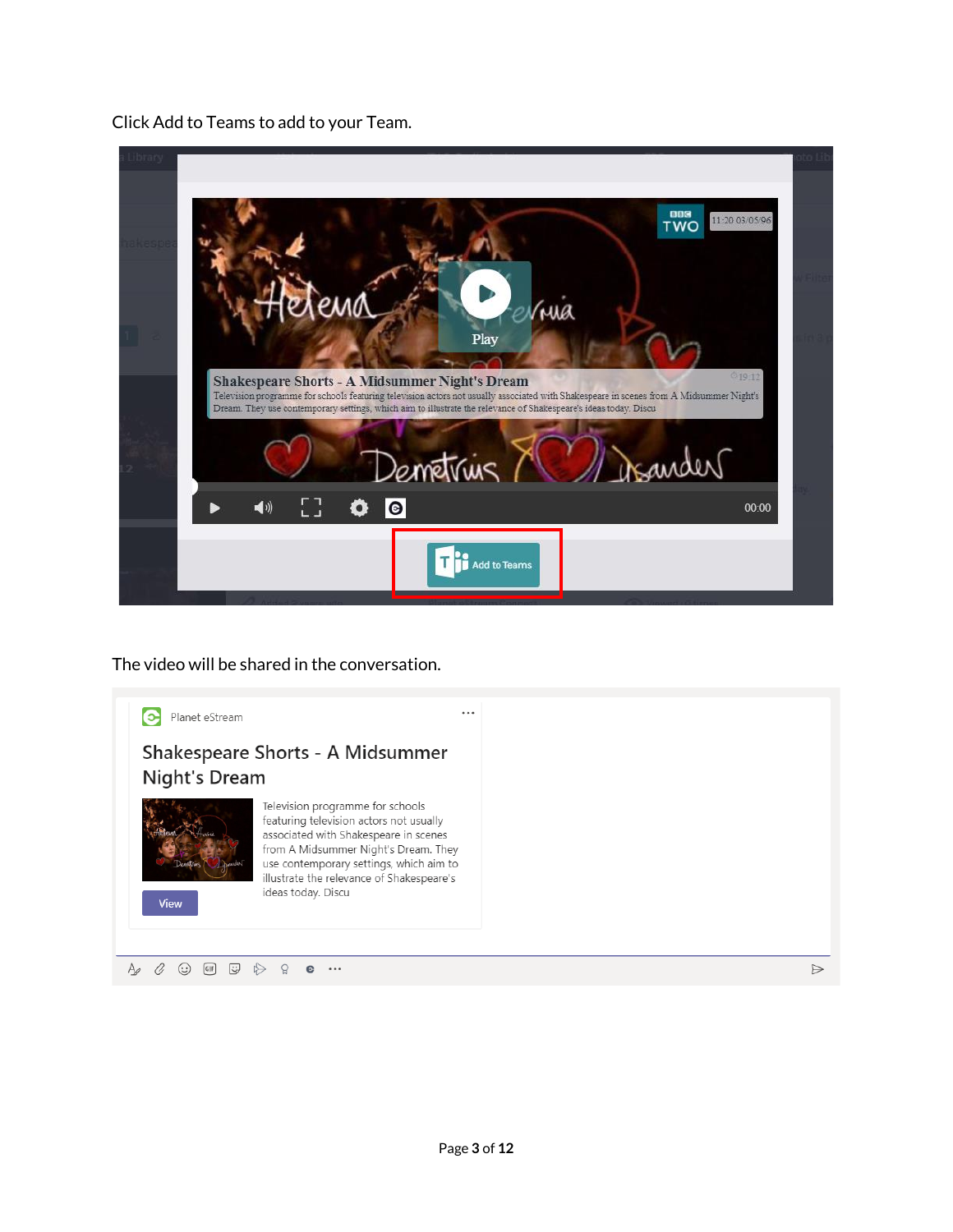Click Add to Teams to add to your Team.

| 003<br>11:20 03/05/96<br><b>TWO</b><br>Vrua                                                                                                                                                                                                                                                                                            |  |
|----------------------------------------------------------------------------------------------------------------------------------------------------------------------------------------------------------------------------------------------------------------------------------------------------------------------------------------|--|
| Play<br>019:12<br><b>Shakespeare Shorts - A Midsummer Night's Dream</b><br>Television programme for schools featuring television actors not usually associated with Shakespeare in scenes from A Midsummer Night's<br>Dream. They use contemporary settings, which aim to illustrate the relevance of Shakespeare's ideas today. Discu |  |
| Demetrius                                                                                                                                                                                                                                                                                                                              |  |
| $\begin{bmatrix} 1 \\ 2 \end{bmatrix}$<br>$\bullet$<br>$\blacktriangleleft$<br>٥<br>00:00                                                                                                                                                                                                                                              |  |
| <b>Add to Teams</b>                                                                                                                                                                                                                                                                                                                    |  |

The video will be shared in the conversation.

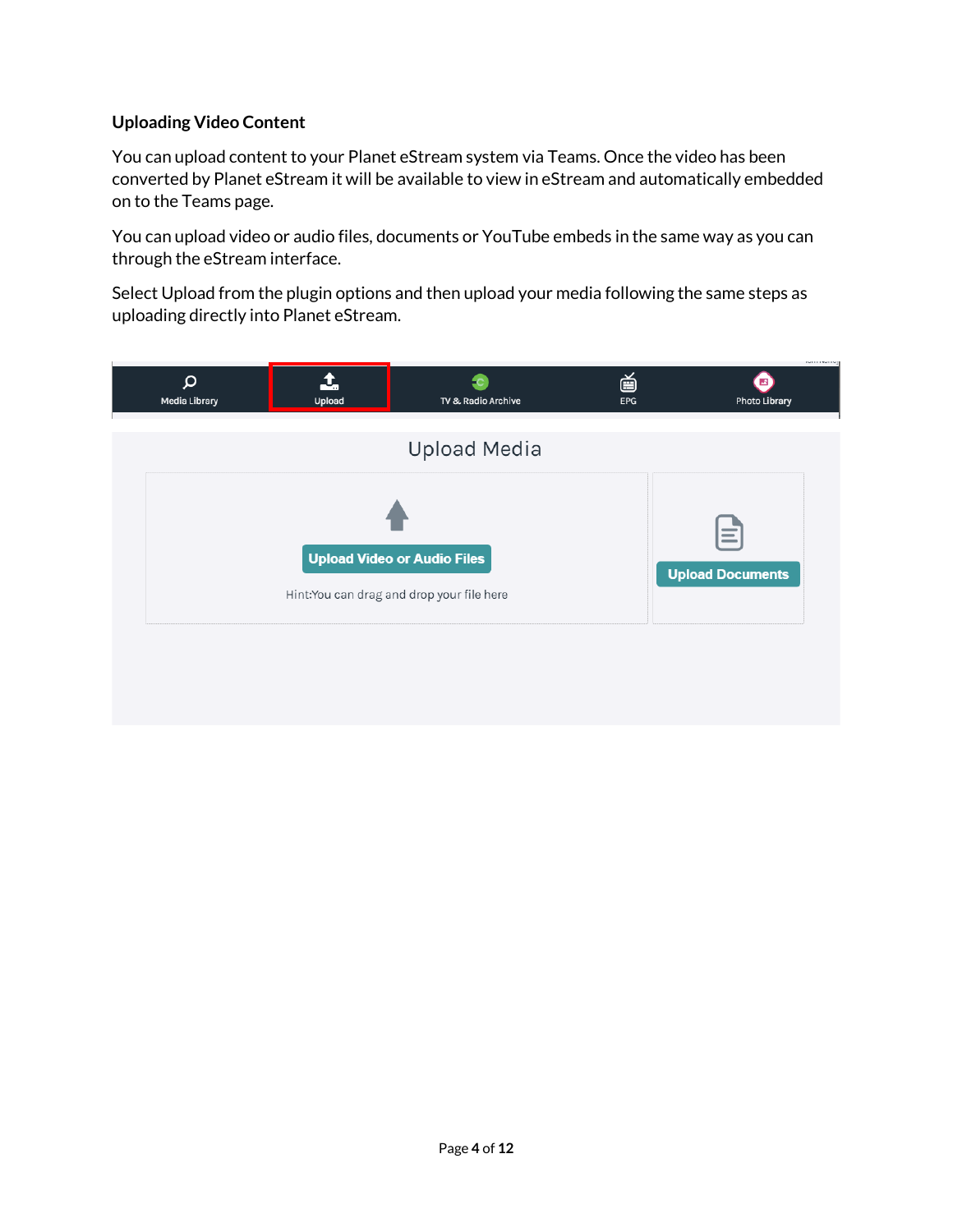# **Uploading Video Content**

You can upload content to your Planet eStream system via Teams. Once the video has been converted by Planet eStream it will be available to view in eStream and automatically embedded on to the Teams page.

You can upload video or audio files, documents or YouTube embeds in the same way as you can through the eStream interface.

Select Upload from the plugin options and then upload your media following the same steps as uploading directly into Planet eStream.

| $\boldsymbol{\mathsf{Q}}$<br>Media Library | Upload | TV & Radio Archive                                                              | 首<br>EPG | www.www.eg<br>$\mathbb{Z}$<br>Photo Library  |
|--------------------------------------------|--------|---------------------------------------------------------------------------------|----------|----------------------------------------------|
|                                            |        | <b>Upload Media</b>                                                             |          |                                              |
|                                            |        | <b>Upload Video or Audio Files</b><br>Hint:You can drag and drop your file here |          | $\hspace{0.05cm}$<br><b>Upload Documents</b> |
|                                            |        |                                                                                 |          |                                              |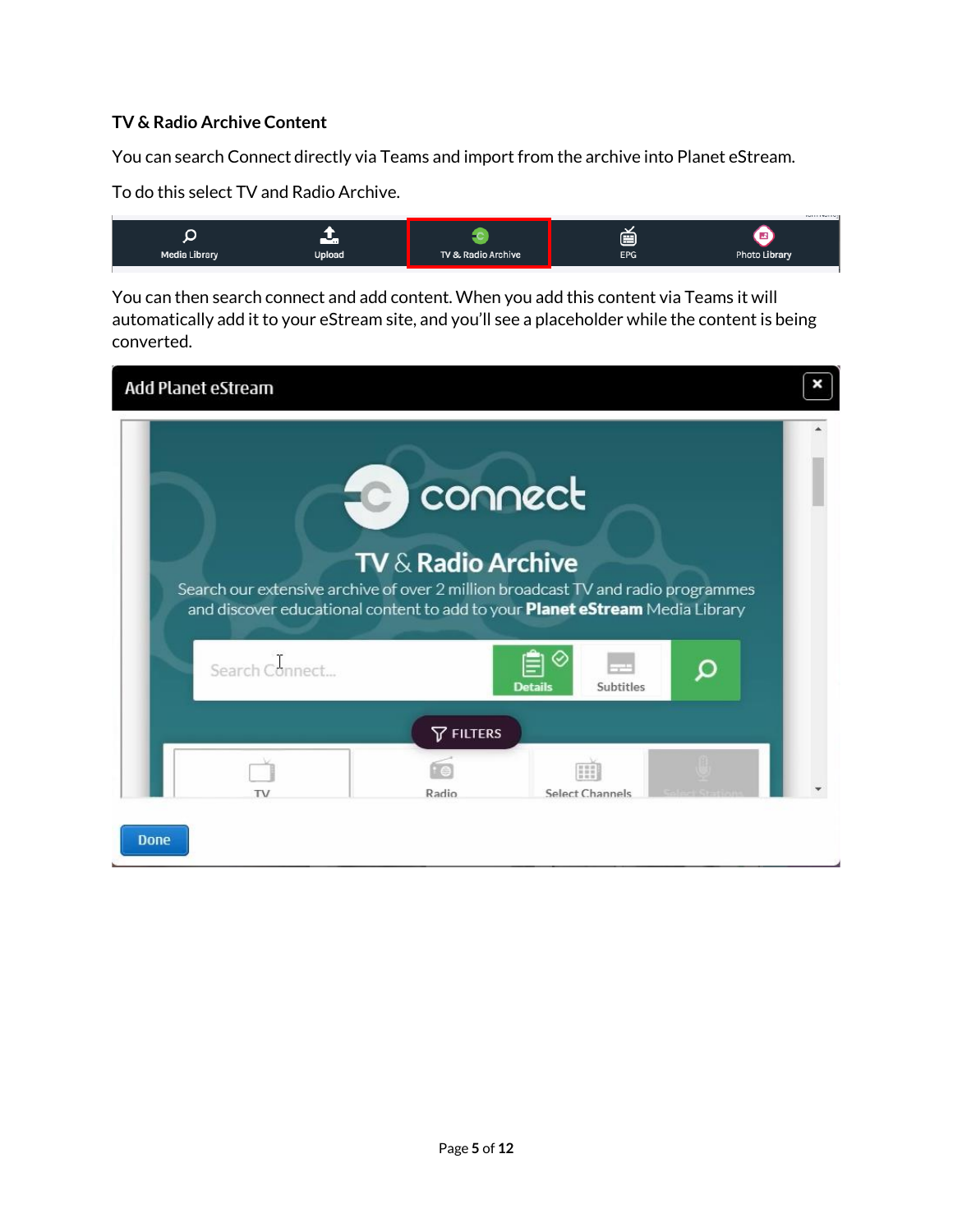## **TV & Radio Archive Content**

You can search Connect directly via Teams and import from the archive into Planet eStream.

To do this select TV and Radio Archive.

You can then search connect and add content. When you add this content via Teams it will automatically add it to your eStream site, and you'll see a placeholder while the content is being converted.

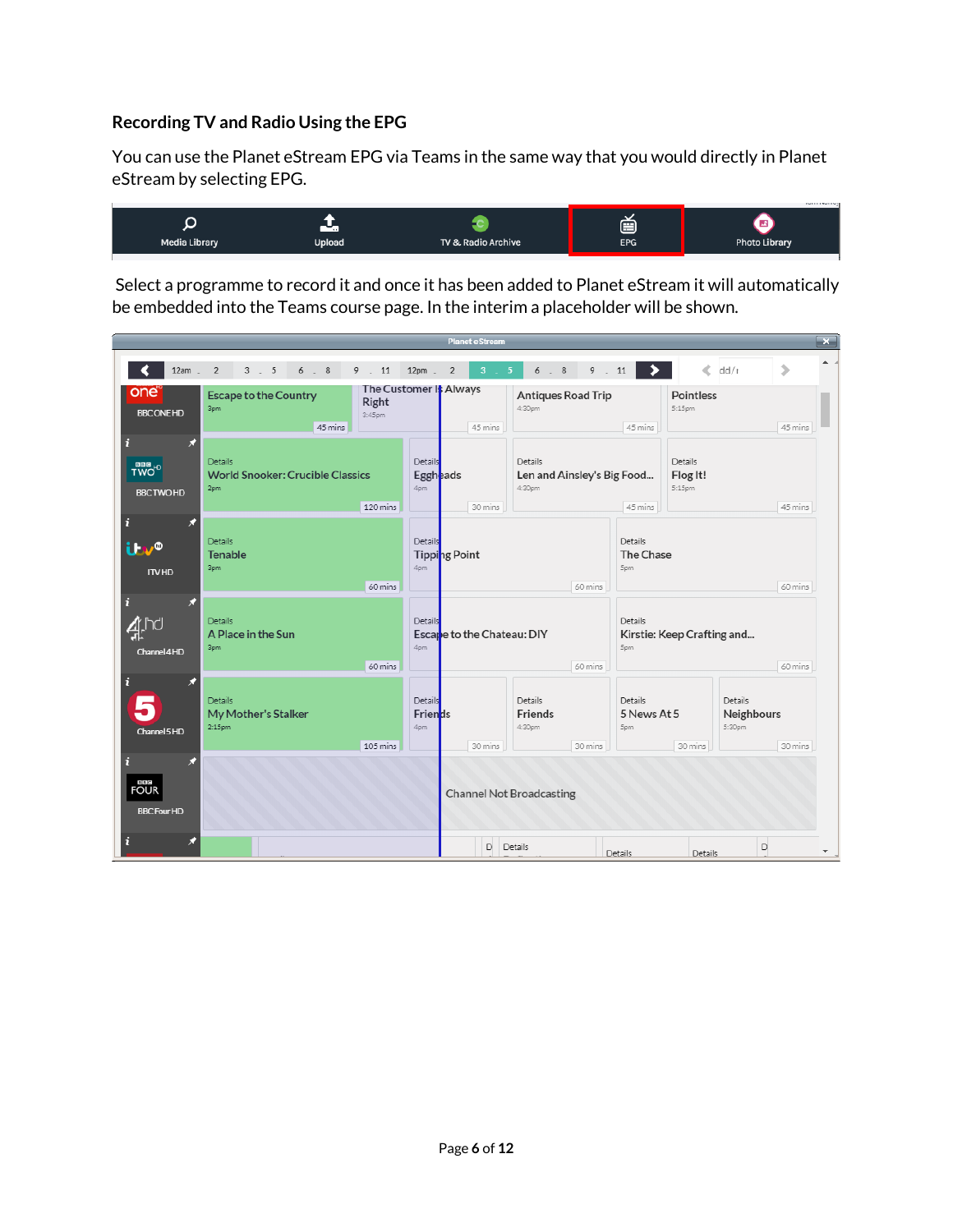## **Recording TV and Radio Using the EPG**

You can use the Planet eStream EPG via Teams in the same way that you would directly in Planet eStream by selecting EPG.



Select a programme to record it and once it has been added to Planet eStream it will automatically be embedded into the Teams course page. In the interim a placeholder will be shown.

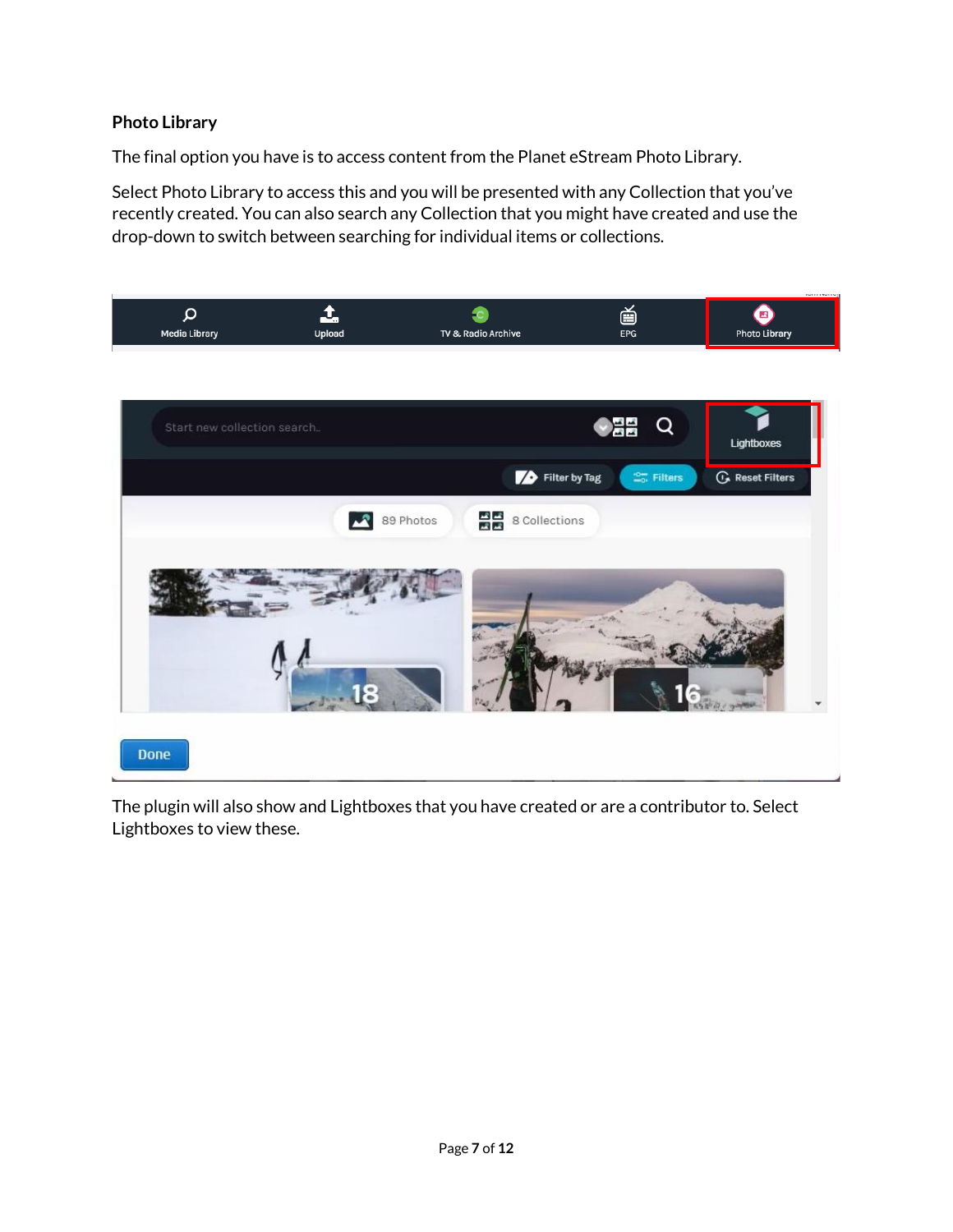# **Photo Library**

The final option you have is to access content from the Planet eStream Photo Library.

Select Photo Library to access this and you will be presented with any Collection that you've recently created. You can also search any Collection that you might have created and use the drop-down to switch between searching for individual items or collections.





The plugin will also show and Lightboxes that you have created or are a contributor to. Select Lightboxes to view these.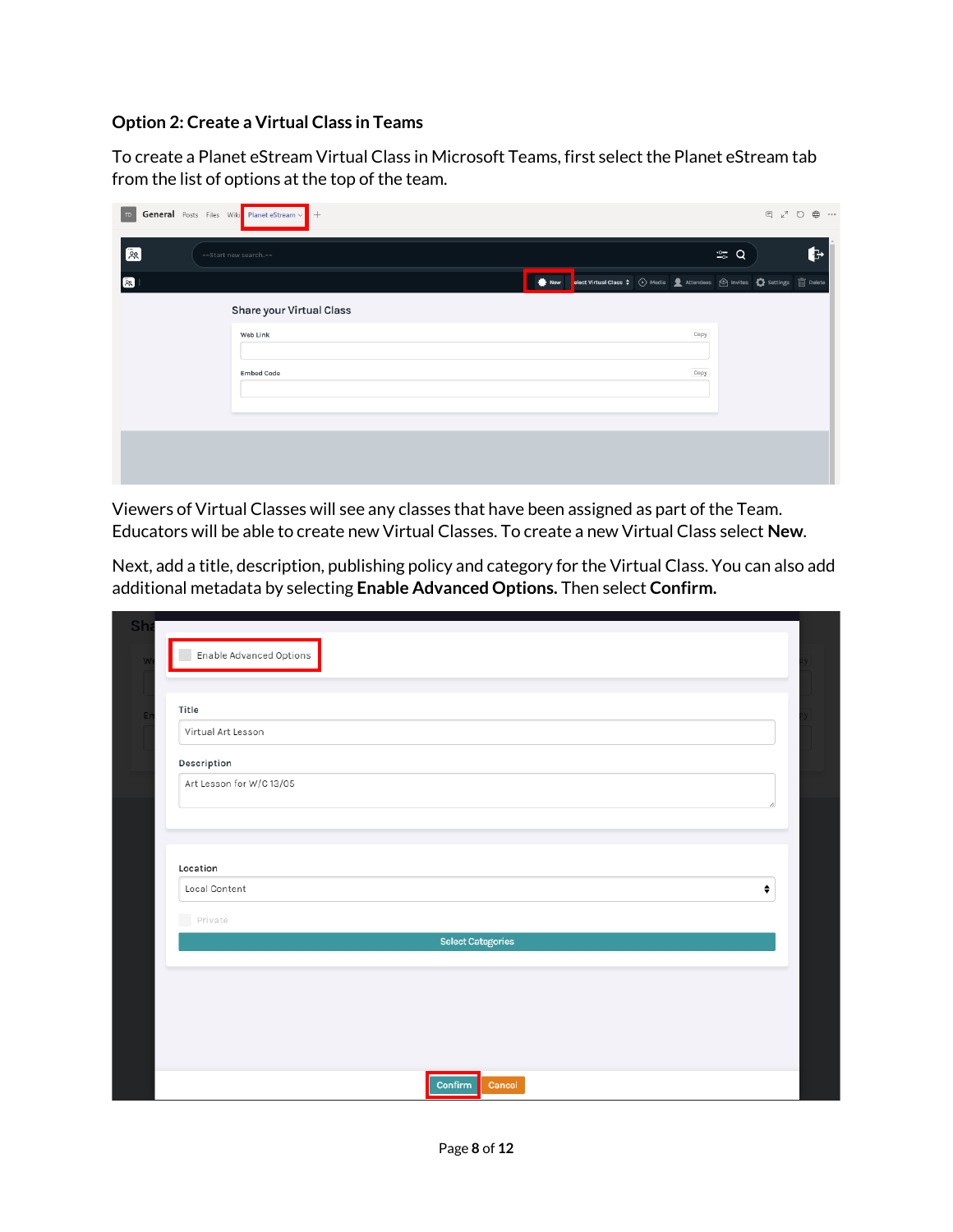#### **Option 2: Create a Virtual Class in Teams**

To create a Planet eStream Virtual Class in Microsoft Teams, first select the Planet eStream tab from the list of options at the top of the team.

| TD.             | <b>General</b> Posts Files Wiki Planet eStream v + |                                                                                                           | $E_{\nu}$ $\sim$<br>$\oplus\ \cdots$ |
|-----------------|----------------------------------------------------|-----------------------------------------------------------------------------------------------------------|--------------------------------------|
| $\overline{2}$  | ~~Start new search~~                               |                                                                                                           | b<br>$\frac{1}{20}$ Q                |
| $\overline{88}$ |                                                    | <b>A New Pelect Virtual Class ≑</b> ⊙ Media <u>●</u> Attendees  S Invites C Settings <sub>in</sub> Delete |                                      |
|                 | Share your Virtual Class                           |                                                                                                           |                                      |
|                 | Web Link                                           | Copy                                                                                                      |                                      |
|                 | <b>Embed Code</b>                                  | Copy                                                                                                      |                                      |
|                 |                                                    |                                                                                                           |                                      |
|                 |                                                    |                                                                                                           |                                      |
|                 |                                                    |                                                                                                           |                                      |

Viewers of Virtual Classes will see any classes that have been assigned as part of the Team. Educators will be able to create new Virtual Classes. To create a new Virtual Class select **New**.

Next, add a title, description, publishing policy and category for the Virtual Class. You can also add additional metadata by selecting **Enable Advanced Options.** Then select **Confirm.**

| Title                    |                          |   |
|--------------------------|--------------------------|---|
| Virtual Art Lesson       |                          |   |
| Description              |                          |   |
| Art Lesson for W/C 13/05 |                          |   |
|                          |                          |   |
|                          |                          |   |
|                          |                          |   |
| Location                 |                          |   |
| Local Content            |                          | ÷ |
| Private                  |                          |   |
|                          | <b>Select Categories</b> |   |
|                          |                          |   |
|                          |                          |   |
|                          |                          |   |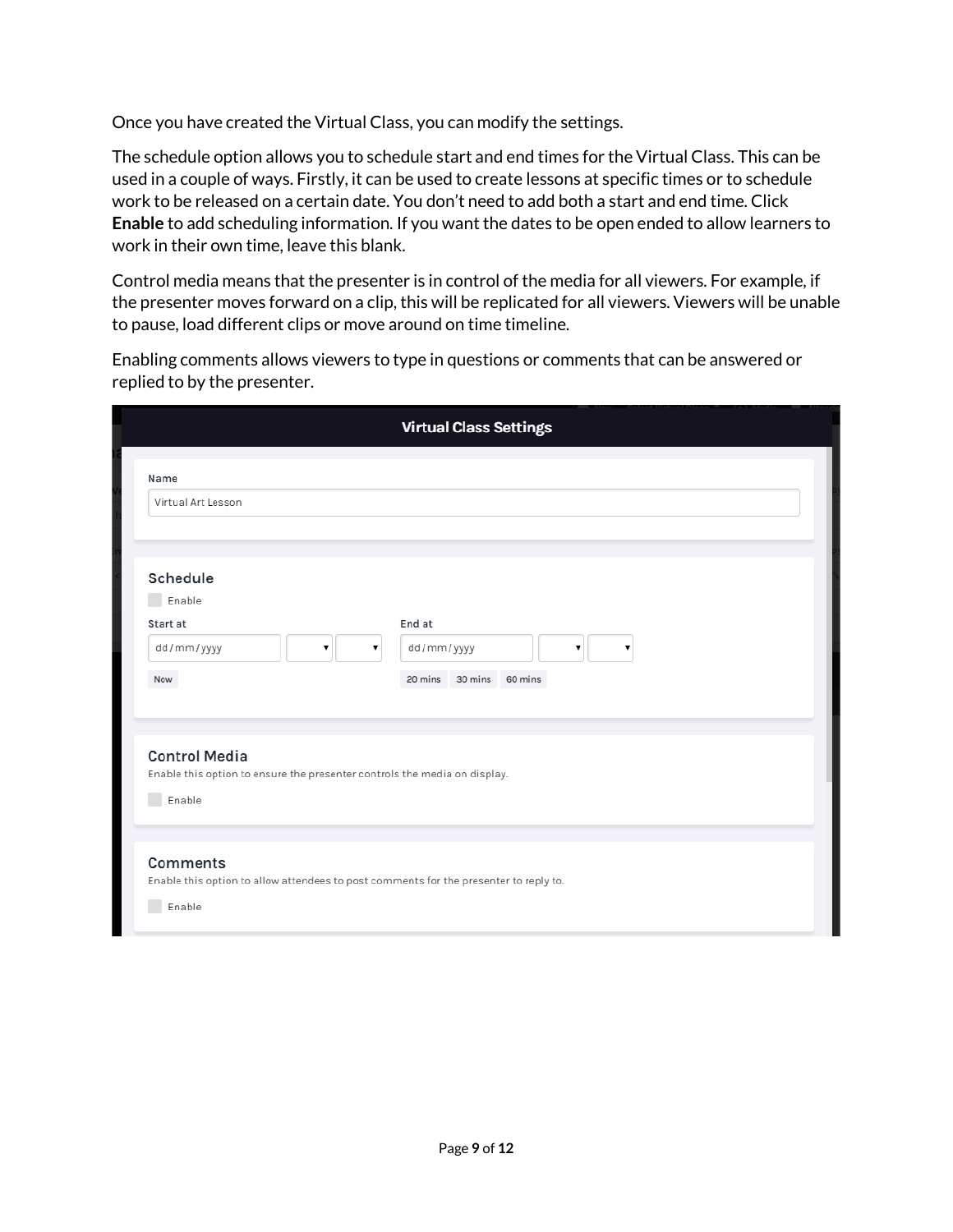Once you have created the Virtual Class, you can modify the settings.

The schedule option allows you to schedule start and end times for the Virtual Class. This can be used in a couple of ways. Firstly, it can be used to create lessons at specific times or to schedule work to be released on a certain date. You don't need to add both a start and end time. Click **Enable** to add scheduling information. If you want the dates to be open ended to allow learners to work in their own time, leave this blank.

Control media means that the presenter is in control of the media for all viewers. For example, if the presenter moves forward on a clip, this will be replicated for all viewers. Viewers will be unable to pause, load different clips or move around on time timeline.

Enabling comments allows viewers to type in questions or comments that can be answered or replied to by the presenter.

|                                                                                                             | <b>Virtual Class Settings</b> |
|-------------------------------------------------------------------------------------------------------------|-------------------------------|
| Name                                                                                                        |                               |
| Virtual Art Lesson                                                                                          |                               |
| Schedule                                                                                                    |                               |
| Enable                                                                                                      |                               |
| Start at                                                                                                    | End at                        |
| dd/mm/yyyy<br>۷.<br>7                                                                                       | dd/mm/yyyy<br>۷.<br>۷.        |
| Now                                                                                                         | 20 mins 30 mins 60 mins       |
| <b>Control Media</b><br>Enable this option to ensure the presenter controls the media on display.<br>Enable |                               |
|                                                                                                             |                               |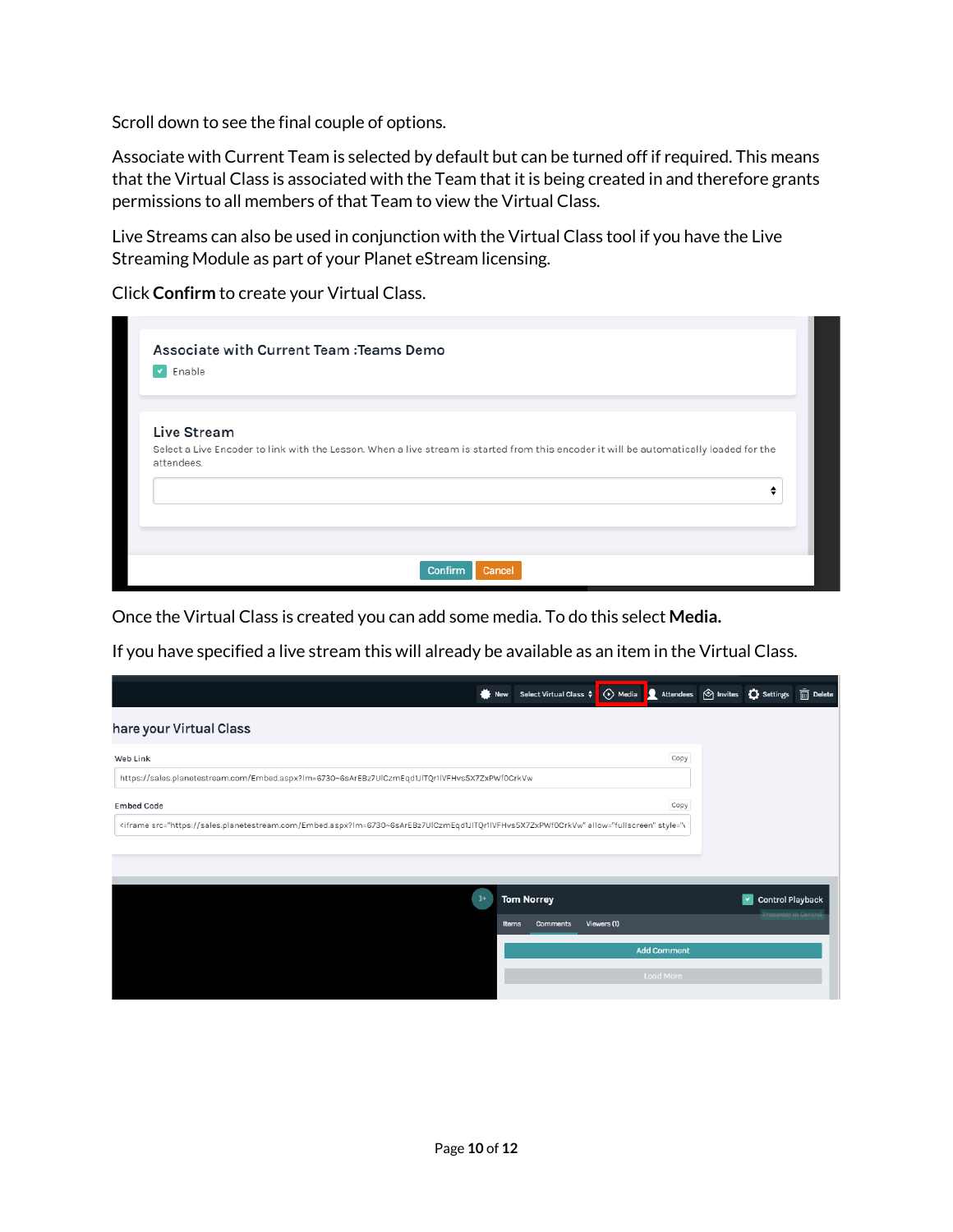Scroll down to see the final couple of options.

Associate with Current Team is selected by default but can be turned off if required. This means that the Virtual Class is associated with the Team that it is being created in and therefore grants permissions to all members of that Team to view the Virtual Class.

Live Streams can also be used in conjunction with the Virtual Class tool if you have the Live Streaming Module as part of your Planet eStream licensing.

Click **Confirm** to create your Virtual Class.

| Enable<br>$\mathbf{v}$ |                                                                                                                                        |  |   |
|------------------------|----------------------------------------------------------------------------------------------------------------------------------------|--|---|
|                        |                                                                                                                                        |  |   |
| Live Stream            |                                                                                                                                        |  |   |
| attendees.             | Select a Live Encoder to link with the Lesson. When a live stream is started from this encoder it will be automatically loaded for the |  |   |
|                        |                                                                                                                                        |  | ٠ |
|                        |                                                                                                                                        |  |   |
|                        |                                                                                                                                        |  |   |

Once the Virtual Class is created you can add some media. To do this select **Media.**

If you have specified a live stream this will already be available as an item in the Virtual Class.

|                                                                                                                                                                                                                                                                                                                                                                                                                                                                                                                                                                                                                                                                                                                                                                                                                                                                                                                                                     | <b>New</b>   | Select Virtual Class ♦ |             | ⊙ Media <u>D</u> Attendees <b>A</b> Invites C Settings in Delete |                      |  |
|-----------------------------------------------------------------------------------------------------------------------------------------------------------------------------------------------------------------------------------------------------------------------------------------------------------------------------------------------------------------------------------------------------------------------------------------------------------------------------------------------------------------------------------------------------------------------------------------------------------------------------------------------------------------------------------------------------------------------------------------------------------------------------------------------------------------------------------------------------------------------------------------------------------------------------------------------------|--------------|------------------------|-------------|------------------------------------------------------------------|----------------------|--|
| hare your Virtual Class                                                                                                                                                                                                                                                                                                                                                                                                                                                                                                                                                                                                                                                                                                                                                                                                                                                                                                                             |              |                        |             |                                                                  |                      |  |
| Web Link                                                                                                                                                                                                                                                                                                                                                                                                                                                                                                                                                                                                                                                                                                                                                                                                                                                                                                                                            |              |                        |             | Copy                                                             |                      |  |
| https://sales.planetestream.com/Embed.aspx?lm=6730~6sArEBz7UlCzmEqd1JlTQr1lVFHvs5X7ZxPWf0CrkVw                                                                                                                                                                                                                                                                                                                                                                                                                                                                                                                                                                                                                                                                                                                                                                                                                                                      |              |                        |             |                                                                  |                      |  |
| <b>Embed Code</b>                                                                                                                                                                                                                                                                                                                                                                                                                                                                                                                                                                                                                                                                                                                                                                                                                                                                                                                                   |              |                        |             | Copy                                                             |                      |  |
| <iframe allow="fullscreen" inline"="" src="https://sales.planetestream.com/Embed.aspx?lm=6730~6sArEBz7UlCzmEqd1JlTQr1lVFHvs5X7ZxPWf0CrkVw" style="v&lt;/td&gt;&lt;td&gt;&lt;/td&gt;&lt;td&gt;&lt;/td&gt;&lt;th&gt;&lt;/th&gt;&lt;th&gt;&lt;/th&gt;&lt;td&gt;&lt;/td&gt;&lt;td&gt;&lt;/td&gt;&lt;/tr&gt;&lt;tr&gt;&lt;td&gt;&lt;/td&gt;&lt;td&gt;&lt;/td&gt;&lt;td&gt;&lt;/td&gt;&lt;th&gt;&lt;/th&gt;&lt;th&gt;&lt;/th&gt;&lt;td&gt;&lt;/td&gt;&lt;td&gt;&lt;/td&gt;&lt;/tr&gt;&lt;tr&gt;&lt;td&gt;&lt;/td&gt;&lt;td&gt;&lt;/td&gt;&lt;td&gt;&lt;/td&gt;&lt;th&gt;&lt;/th&gt;&lt;th&gt;&lt;/th&gt;&lt;td&gt;&lt;/td&gt;&lt;td&gt;&lt;/td&gt;&lt;/tr&gt;&lt;tr&gt;&lt;th&gt;&lt;/th&gt;&lt;th&gt;&lt;math&gt;\overline{1}&lt;/math&gt;&lt;/th&gt;&lt;th&gt;&lt;b&gt;Tom Norrey&lt;/b&gt;&lt;/th&gt;&lt;th&gt;&lt;/th&gt;&lt;th&gt;&lt;/th&gt;&lt;th&gt;&lt;b&gt;Control Playback&lt;/b&gt;&lt;br&gt;&lt;math display=">\mathcal{A}<th></th></iframe> |              |                        |             |                                                                  |                      |  |
|                                                                                                                                                                                                                                                                                                                                                                                                                                                                                                                                                                                                                                                                                                                                                                                                                                                                                                                                                     | <b>Items</b> | <b>Comments</b>        | Viewers (1) |                                                                  | Presenter in Control |  |
|                                                                                                                                                                                                                                                                                                                                                                                                                                                                                                                                                                                                                                                                                                                                                                                                                                                                                                                                                     |              |                        |             | <b>Add Comment</b>                                               |                      |  |
|                                                                                                                                                                                                                                                                                                                                                                                                                                                                                                                                                                                                                                                                                                                                                                                                                                                                                                                                                     |              |                        |             | <b>Load More</b>                                                 |                      |  |
|                                                                                                                                                                                                                                                                                                                                                                                                                                                                                                                                                                                                                                                                                                                                                                                                                                                                                                                                                     |              |                        |             |                                                                  |                      |  |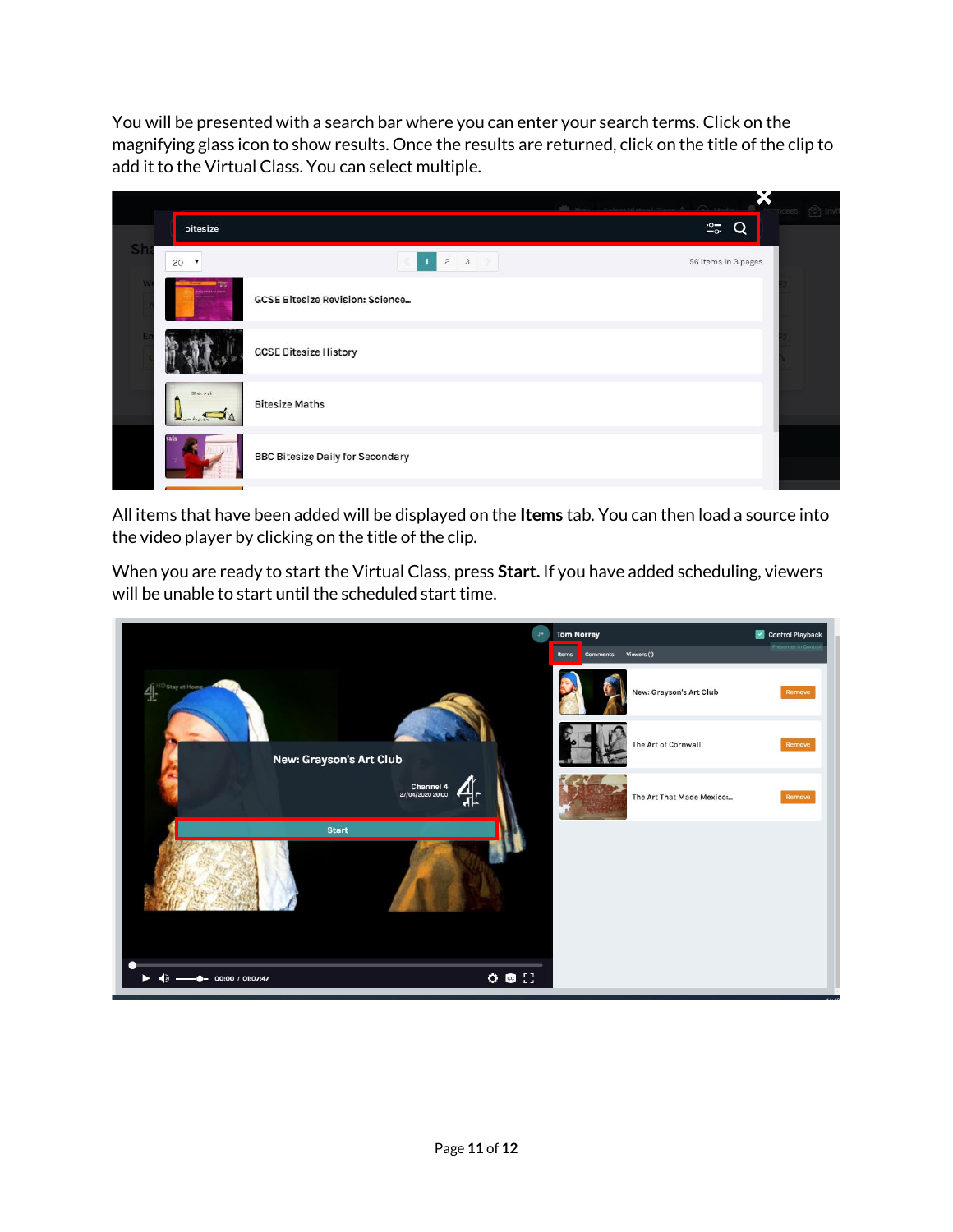You will be presented with a search bar where you can enter your search terms. Click on the magnifying glass icon to show results. Once the results are returned, click on the title of the clip to add it to the Virtual Class. You can select multiple.

|    |                       |                                         |                     | dees $\bigotimes$ Invi |
|----|-----------------------|-----------------------------------------|---------------------|------------------------|
|    | bitesize              |                                         | $\frac{1}{20}$<br>◠ |                        |
| Sh | 20<br>▼               | $\overline{3}$<br>$\bar{2}$             | 56 items in 3 pages |                        |
|    |                       | <b>GCSE Bitesize Revision: Science</b>  |                     |                        |
|    |                       | <b>GCSE Bitesize History</b>            |                     |                        |
|    | $m \sim 24$<br>0.4474 | <b>Bitesize Maths</b>                   |                     |                        |
|    |                       | <b>BBC Bitesize Daily for Secondary</b> |                     |                        |
|    |                       |                                         |                     |                        |

All items that have been added will be displayed on the **Items** tab. You can then load a source into the video player by clicking on the title of the clip.

When you are ready to start the Virtual Class, press **Start.** If you have added scheduling, viewers will be unable to start until the scheduled start time.

![](_page_10_Picture_4.jpeg)